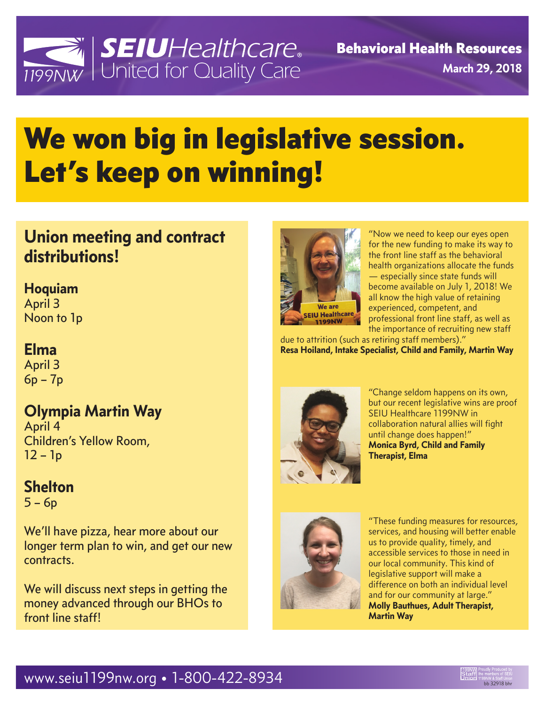

## We won big in legislative session. Let's keep on winning!

## **Union meeting and contract distributions!**

**Hoquiam** 

April 3 Noon to 1p

#### **Elma**

April 3 6p – 7p

### **Olympia Martin Way**

April 4 Children's Yellow Room, 12 – 1p

### **Shelton**

 $5 - 6p$ 

We'll have pizza, hear more about our longer term plan to win, and get our new contracts.

We will discuss next steps in getting the money advanced through our BHOs to front line staff!



"Now we need to keep our eyes open for the new funding to make its way to the front line staff as the behavioral health organizations allocate the funds — especially since state funds will become available on July 1, 2018! We all know the high value of retaining experienced, competent, and professional front line staff, as well as the importance of recruiting new staff

due to attrition (such as retiring staff members)." **Resa Hoiland, Intake Specialist, Child and Family, Martin Way**



"Change seldom happens on its own, but our recent legislative wins are proof SEIU Healthcare 1199NW in collaboration natural allies will fight until change does happen!" **Monica Byrd, Child and Family Therapist, Elma**



"These funding measures for resources, services, and housing will better enable us to provide quality, timely, and accessible services to those in need in our local community. This kind of legislative support will make a difference on both an individual level and for our community at large." **Molly Bauthues, Adult Therapist, Martin Way**